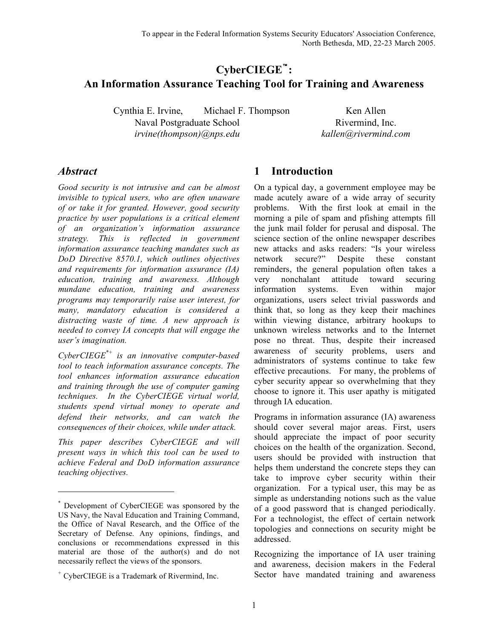# **CyberCIEGE**™**: An Information Assurance Teaching Tool for Training and Awareness**

Cynthia E. Irvine, Michael F. Thompson Ken Allen Naval Postgraduate School Rivermind, Inc. *irvine(thompson)@nps.edu kallen@rivermind.com*

### *Abstract*

l

*Good security is not intrusive and can be almost invisible to typical users, who are often unaware of or take it for granted. However, good security practice by user populations is a critical element of an organization's information assurance strategy. This is reflected in government information assurance teaching mandates such as DoD Directive 8570.1, which outlines objectives and requirements for information assurance (IA) education, training and awareness. Although mundane education, training and awareness programs may temporarily raise user interest, for many, mandatory education is considered a distracting waste of time. A new approach is needed to convey IA concepts that will engage the user's imagination.*

*CyberCIEGE\*+ is an innovative computer-based tool to teach information assurance concepts. The tool enhances information assurance education and training through the use of computer gaming techniques. In the CyberCIEGE virtual world, students spend virtual money to operate and defend their networks, and can watch the consequences of their choices, while under attack.*

*This paper describes CyberCIEGE and will present ways in which this tool can be used to achieve Federal and DoD information assurance teaching objectives.*

### **1 Introduction**

On a typical day, a government employee may be made acutely aware of a wide array of security problems. With the first look at email in the morning a pile of spam and pfishing attempts fill the junk mail folder for perusal and disposal. The science section of the online newspaper describes new attacks and asks readers: "Is your wireless network secure?" Despite these constant reminders, the general population often takes a very nonchalant attitude toward securing information systems. Even within major organizations, users select trivial passwords and think that, so long as they keep their machines within viewing distance, arbitrary hookups to unknown wireless networks and to the Internet pose no threat. Thus, despite their increased awareness of security problems, users and administrators of systems continue to take few effective precautions. For many, the problems of cyber security appear so overwhelming that they choose to ignore it. This user apathy is mitigated through IA education.

Programs in information assurance (IA) awareness should cover several major areas. First, users should appreciate the impact of poor security choices on the health of the organization. Second, users should be provided with instruction that helps them understand the concrete steps they can take to improve cyber security within their organization. For a typical user, this may be as simple as understanding notions such as the value of a good password that is changed periodically. For a technologist, the effect of certain network topologies and connections on security might be addressed.

Recognizing the importance of IA user training and awareness, decision makers in the Federal Sector have mandated training and awareness

<sup>\*</sup> Development of CyberCIEGE was sponsored by the US Navy, the Naval Education and Training Command, the Office of Naval Research, and the Office of the Secretary of Defense. Any opinions, findings, and conclusions or recommendations expressed in this material are those of the author(s) and do not necessarily reflect the views of the sponsors.

<sup>+</sup> CyberCIEGE is a Trademark of Rivermind, Inc.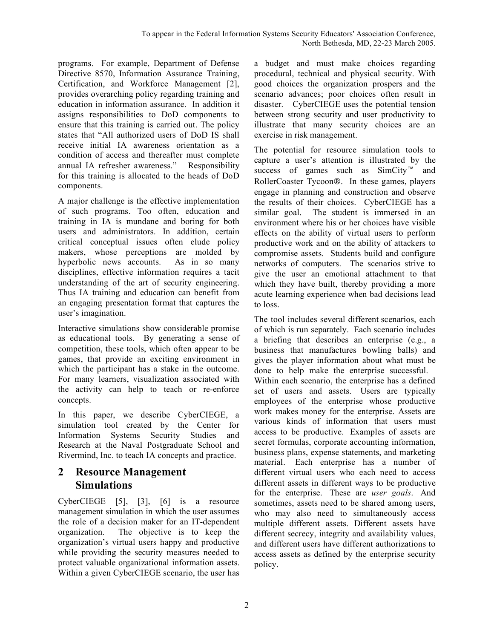programs. For example, Department of Defense Directive 8570, Information Assurance Training, Certification, and Workforce Management [2], provides overarching policy regarding training and education in information assurance. In addition it assigns responsibilities to DoD components to ensure that this training is carried out. The policy states that "All authorized users of DoD IS shall receive initial IA awareness orientation as a condition of access and thereafter must complete annual IA refresher awareness." Responsibility for this training is allocated to the heads of DoD components.

A major challenge is the effective implementation of such programs. Too often, education and training in IA is mundane and boring for both users and administrators. In addition, certain critical conceptual issues often elude policy makers, whose perceptions are molded by hyperbolic news accounts. As in so many disciplines, effective information requires a tacit understanding of the art of security engineering. Thus IA training and education can benefit from an engaging presentation format that captures the user's imagination.

Interactive simulations show considerable promise as educational tools. By generating a sense of competition, these tools, which often appear to be games, that provide an exciting environment in which the participant has a stake in the outcome. For many learners, visualization associated with the activity can help to teach or re-enforce concepts.

In this paper, we describe CyberCIEGE, a simulation tool created by the Center for Information Systems Security Studies and Research at the Naval Postgraduate School and Rivermind, Inc. to teach IA concepts and practice.

# **2 Resource Management Simulations**

CyberCIEGE [5], [3], [6] is a resource management simulation in which the user assumes the role of a decision maker for an IT-dependent organization. The objective is to keep the organization's virtual users happy and productive while providing the security measures needed to protect valuable organizational information assets. Within a given CyberCIEGE scenario, the user has

a budget and must make choices regarding procedural, technical and physical security. With good choices the organization prospers and the scenario advances; poor choices often result in disaster. CyberCIEGE uses the potential tension between strong security and user productivity to illustrate that many security choices are an exercise in risk management.

The potential for resource simulation tools to capture a user's attention is illustrated by the success of games such as SimCity™ and RollerCoaster Tycoon®. In these games, players engage in planning and construction and observe the results of their choices. CyberCIEGE has a similar goal. The student is immersed in an environment where his or her choices have visible effects on the ability of virtual users to perform productive work and on the ability of attackers to compromise assets. Students build and configure networks of computers. The scenarios strive to give the user an emotional attachment to that which they have built, thereby providing a more acute learning experience when bad decisions lead to loss.

The tool includes several different scenarios, each of which is run separately. Each scenario includes a briefing that describes an enterprise (e.g., a business that manufactures bowling balls) and gives the player information about what must be done to help make the enterprise successful. Within each scenario, the enterprise has a defined set of users and assets. Users are typically employees of the enterprise whose productive work makes money for the enterprise. Assets are various kinds of information that users must access to be productive. Examples of assets are secret formulas, corporate accounting information, business plans, expense statements, and marketing material. Each enterprise has a number of different virtual users who each need to access different assets in different ways to be productive for the enterprise. These are *user goals*. And sometimes, assets need to be shared among users, who may also need to simultaneously access multiple different assets. Different assets have different secrecy, integrity and availability values, and different users have different authorizations to access assets as defined by the enterprise security policy.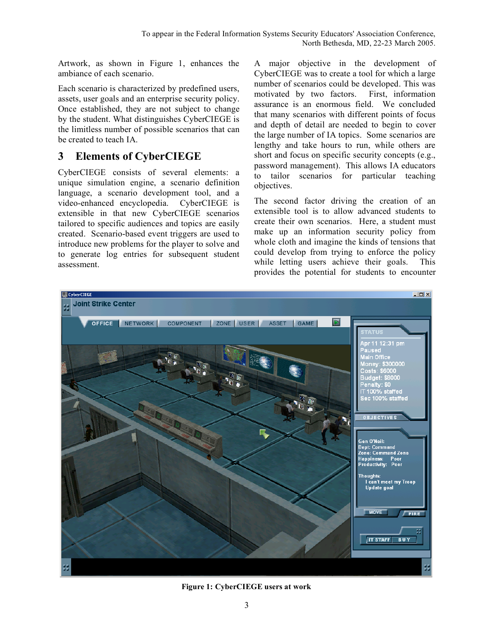Artwork, as shown in Figure 1, enhances the ambiance of each scenario.

Each scenario is characterized by predefined users, assets, user goals and an enterprise security policy. Once established, they are not subject to change by the student. What distinguishes CyberCIEGE is the limitless number of possible scenarios that can be created to teach IA.

# **3 Elements of CyberCIEGE**

CyberCIEGE consists of several elements: a unique simulation engine, a scenario definition language, a scenario development tool, and a video-enhanced encyclopedia. CyberCIEGE is extensible in that new CyberCIEGE scenarios tailored to specific audiences and topics are easily created. Scenario-based event triggers are used to introduce new problems for the player to solve and to generate log entries for subsequent student assessment.

A major objective in the development of CyberCIEGE was to create a tool for which a large number of scenarios could be developed. This was motivated by two factors. First, information assurance is an enormous field. We concluded that many scenarios with different points of focus and depth of detail are needed to begin to cover the large number of IA topics. Some scenarios are lengthy and take hours to run, while others are short and focus on specific security concepts (e.g., password management). This allows IA educators to tailor scenarios for particular teaching objectives.

The second factor driving the creation of an extensible tool is to allow advanced students to create their own scenarios. Here, a student must make up an information security policy from whole cloth and imagine the kinds of tensions that could develop from trying to enforce the policy while letting users achieve their goals. This provides the potential for students to encounter



**Figure 1: CyberCIEGE users at work**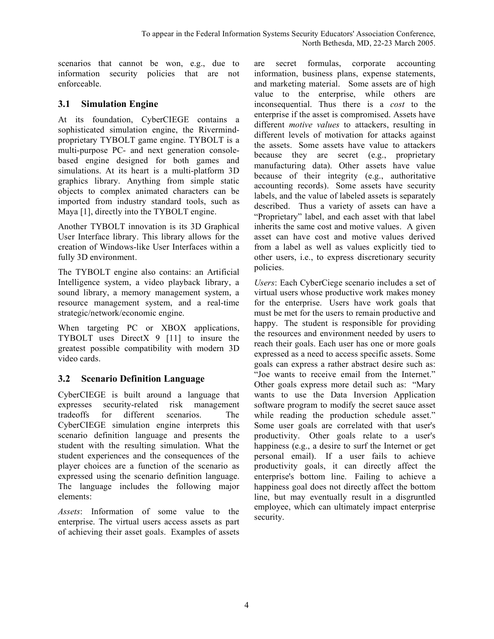scenarios that cannot be won, e.g., due to information security policies that are not enforceable.

#### **3.1 Simulation Engine**

At its foundation, CyberCIEGE contains a sophisticated simulation engine, the Rivermindproprietary TYBOLT game engine. TYBOLT is a multi-purpose PC- and next generation consolebased engine designed for both games and simulations. At its heart is a multi-platform 3D graphics library. Anything from simple static objects to complex animated characters can be imported from industry standard tools, such as Maya [1], directly into the TYBOLT engine.

Another TYBOLT innovation is its 3D Graphical User Interface library. This library allows for the creation of Windows-like User Interfaces within a fully 3D environment.

The TYBOLT engine also contains: an Artificial Intelligence system, a video playback library, a sound library, a memory management system, a resource management system, and a real-time strategic/network/economic engine.

When targeting PC or XBOX applications, TYBOLT uses DirectX 9 [11] to insure the greatest possible compatibility with modern 3D video cards.

#### **3.2 Scenario Definition Language**

CyberCIEGE is built around a language that expresses security-related risk management tradeoffs for different scenarios. The CyberCIEGE simulation engine interprets this scenario definition language and presents the student with the resulting simulation. What the student experiences and the consequences of the player choices are a function of the scenario as expressed using the scenario definition language. The language includes the following major elements:

*Assets*: Information of some value to the enterprise. The virtual users access assets as part of achieving their asset goals. Examples of assets

are secret formulas, corporate accounting information, business plans, expense statements, and marketing material. Some assets are of high value to the enterprise, while others are inconsequential. Thus there is a *cost* to the enterprise if the asset is compromised. Assets have different *motive values* to attackers, resulting in different levels of motivation for attacks against the assets. Some assets have value to attackers because they are secret (e.g., proprietary manufacturing data). Other assets have value because of their integrity (e.g., authoritative accounting records). Some assets have security labels, and the value of labeled assets is separately described. Thus a variety of assets can have a "Proprietary" label, and each asset with that label inherits the same cost and motive values. A given asset can have cost and motive values derived from a label as well as values explicitly tied to other users, i.e., to express discretionary security policies.

*Users*: Each CyberCiege scenario includes a set of virtual users whose productive work makes money for the enterprise. Users have work goals that must be met for the users to remain productive and happy. The student is responsible for providing the resources and environment needed by users to reach their goals. Each user has one or more goals expressed as a need to access specific assets. Some goals can express a rather abstract desire such as: "Joe wants to receive email from the Internet." Other goals express more detail such as: "Mary wants to use the Data Inversion Application software program to modify the secret sauce asset while reading the production schedule asset." Some user goals are correlated with that user's productivity. Other goals relate to a user's happiness (e.g., a desire to surf the Internet or get personal email). If a user fails to achieve productivity goals, it can directly affect the enterprise's bottom line. Failing to achieve a happiness goal does not directly affect the bottom line, but may eventually result in a disgruntled employee, which can ultimately impact enterprise security.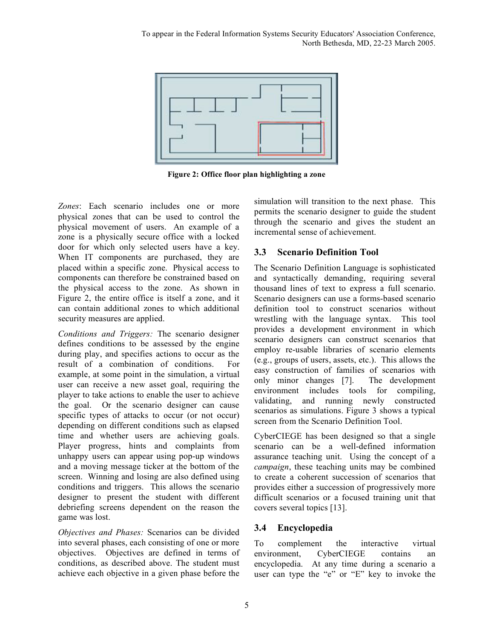

**Figure 2: Office floor plan highlighting a zone**

*Zones***:** Each scenario includes one or more physical zones that can be used to control the physical movement of users. An example of a zone is a physically secure office with a locked door for which only selected users have a key. When IT components are purchased, they are placed within a specific zone. Physical access to components can therefore be constrained based on the physical access to the zone. As shown in Figure 2, the entire office is itself a zone, and it can contain additional zones to which additional security measures are applied.

*Conditions and Triggers:* The scenario designer defines conditions to be assessed by the engine during play, and specifies actions to occur as the result of a combination of conditions. For example, at some point in the simulation, a virtual user can receive a new asset goal, requiring the player to take actions to enable the user to achieve the goal. Or the scenario designer can cause specific types of attacks to occur (or not occur) depending on different conditions such as elapsed time and whether users are achieving goals. Player progress, hints and complaints from unhappy users can appear using pop-up windows and a moving message ticker at the bottom of the screen. Winning and losing are also defined using conditions and triggers. This allows the scenario designer to present the student with different debriefing screens dependent on the reason the game was lost.

*Objectives and Phases:* Scenarios can be divided into several phases, each consisting of one or more objectives. Objectives are defined in terms of conditions, as described above. The student must achieve each objective in a given phase before the

simulation will transition to the next phase. This permits the scenario designer to guide the student through the scenario and gives the student an incremental sense of achievement.

### **3.3 Scenario Definition Tool**

The Scenario Definition Language is sophisticated and syntactically demanding, requiring several thousand lines of text to express a full scenario. Scenario designers can use a forms-based scenario definition tool to construct scenarios without wrestling with the language syntax. This tool provides a development environment in which scenario designers can construct scenarios that employ re-usable libraries of scenario elements (e.g., groups of users, assets, etc.). This allows the easy construction of families of scenarios with only minor changes [7]. The development environment includes tools for compiling, validating, and running newly constructed scenarios as simulations. Figure 3 shows a typical screen from the Scenario Definition Tool.

CyberCIEGE has been designed so that a single scenario can be a well-defined information assurance teaching unit. Using the concept of a *campaign*, these teaching units may be combined to create a coherent succession of scenarios that provides either a succession of progressively more difficult scenarios or a focused training unit that covers several topics [13].

### **3.4 Encyclopedia**

To complement the interactive virtual environment, CyberCIEGE contains an encyclopedia. At any time during a scenario a user can type the "e" or "E" key to invoke the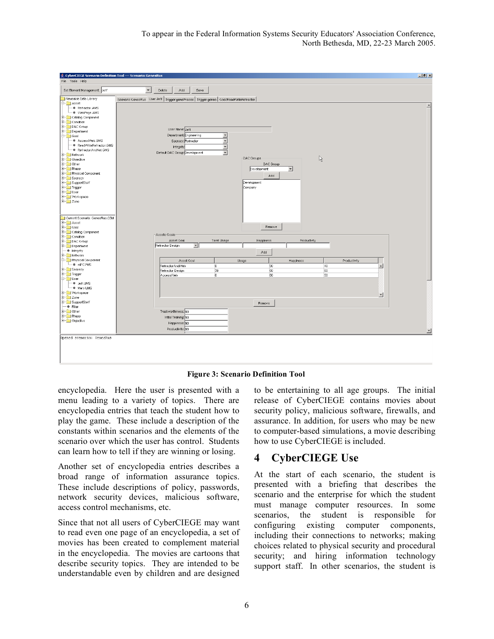

**Figure 3: Scenario Definition Tool**

encyclopedia. Here the user is presented with a menu leading to a variety of topics. There are encyclopedia entries that teach the student how to play the game. These include a description of the constants within scenarios and the elements of the scenario over which the user has control. Students can learn how to tell if they are winning or losing.

Another set of encyclopedia entries describes a broad range of information assurance topics. These include descriptions of policy, passwords, network security devices, malicious software, access control mechanisms, etc.

Since that not all users of CyberCIEGE may want to read even one page of an encyclopedia, a set of movies has been created to complement material in the encyclopedia. The movies are cartoons that describe security topics. They are intended to be understandable even by children and are designed

to be entertaining to all age groups. The initial release of CyberCIEGE contains movies about security policy, malicious software, firewalls, and assurance. In addition, for users who may be new to computer-based simulations, a movie describing how to use CyberCIEGE is included.

# **4 CyberCIEGE Use**

At the start of each scenario, the student is presented with a briefing that describes the scenario and the enterprise for which the student must manage computer resources. In some scenarios, the student is responsible for configuring existing computer components, including their connections to networks; making choices related to physical security and procedural security; and hiring information technology support staff. In other scenarios, the student is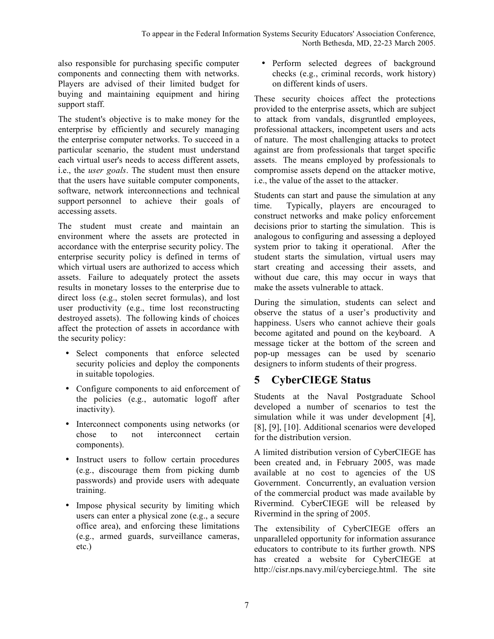also responsible for purchasing specific computer components and connecting them with networks. Players are advised of their limited budget for buying and maintaining equipment and hiring support staff.

The student's objective is to make money for the enterprise by efficiently and securely managing the enterprise computer networks. To succeed in a particular scenario, the student must understand each virtual user's needs to access different assets, i.e., the *user goals*. The student must then ensure that the users have suitable computer components, software, network interconnections and technical support personnel to achieve their goals of accessing assets.

The student must create and maintain an environment where the assets are protected in accordance with the enterprise security policy. The enterprise security policy is defined in terms of which virtual users are authorized to access which assets. Failure to adequately protect the assets results in monetary losses to the enterprise due to direct loss (e.g., stolen secret formulas), and lost user productivity (e.g., time lost reconstructing destroyed assets). The following kinds of choices affect the protection of assets in accordance with the security policy:

- Select components that enforce selected security policies and deploy the components in suitable topologies.
- Configure components to aid enforcement of the policies (e.g., automatic logoff after inactivity).
- Interconnect components using networks (or chose to not interconnect certain to not interconnect certain components).
- Instruct users to follow certain procedures (e.g., discourage them from picking dumb passwords) and provide users with adequate training.
- Impose physical security by limiting which users can enter a physical zone (e.g., a secure office area), and enforcing these limitations (e.g., armed guards, surveillance cameras, etc.)

• Perform selected degrees of background checks (e.g., criminal records, work history) on different kinds of users.

These security choices affect the protections provided to the enterprise assets, which are subject to attack from vandals, disgruntled employees, professional attackers, incompetent users and acts of nature. The most challenging attacks to protect against are from professionals that target specific assets. The means employed by professionals to compromise assets depend on the attacker motive, i.e., the value of the asset to the attacker.

Students can start and pause the simulation at any time. Typically, players are encouraged to construct networks and make policy enforcement decisions prior to starting the simulation. This is analogous to configuring and assessing a deployed system prior to taking it operational. After the student starts the simulation, virtual users may start creating and accessing their assets, and without due care, this may occur in ways that make the assets vulnerable to attack.

During the simulation, students can select and observe the status of a user's productivity and happiness. Users who cannot achieve their goals become agitated and pound on the keyboard. A message ticker at the bottom of the screen and pop-up messages can be used by scenario designers to inform students of their progress.

### **5 CyberCIEGE Status**

Students at the Naval Postgraduate School developed a number of scenarios to test the simulation while it was under development [4], [8], [9], [10]. Additional scenarios were developed for the distribution version.

A limited distribution version of CyberCIEGE has been created and, in February 2005, was made available at no cost to agencies of the US Government. Concurrently, an evaluation version of the commercial product was made available by Rivermind. CyberCIEGE will be released by Rivermind in the spring of 2005.

The extensibility of CyberCIEGE offers an unparalleled opportunity for information assurance educators to contribute to its further growth. NPS has created a website for CyberCIEGE at http://cisr.nps.navy.mil/cyberciege.html. The site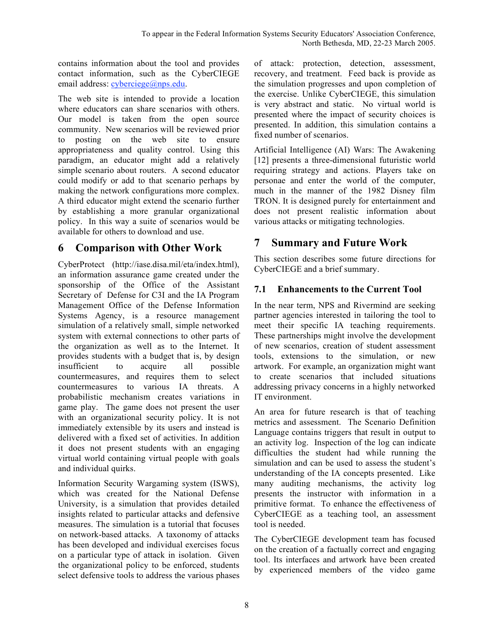contains information about the tool and provides contact information, such as the CyberCIEGE email address: cyberciege@nps.edu.

The web site is intended to provide a location where educators can share scenarios with others. Our model is taken from the open source community. New scenarios will be reviewed prior to posting on the web site to ensure appropriateness and quality control. Using this paradigm, an educator might add a relatively simple scenario about routers. A second educator could modify or add to that scenario perhaps by making the network configurations more complex. A third educator might extend the scenario further by establishing a more granular organizational policy. In this way a suite of scenarios would be available for others to download and use.

### **6 Comparison with Other Work**

CyberProtect (http://iase.disa.mil/eta/index.html), an information assurance game created under the sponsorship of the Office of the Assistant Secretary of Defense for C3I and the IA Program Management Office of the Defense Information Systems Agency, is a resource management simulation of a relatively small, simple networked system with external connections to other parts of the organization as well as to the Internet. It provides students with a budget that is, by design insufficient to acquire all possible countermeasures, and requires them to select countermeasures to various IA threats. A probabilistic mechanism creates variations in game play. The game does not present the user with an organizational security policy. It is not immediately extensible by its users and instead is delivered with a fixed set of activities. In addition it does not present students with an engaging virtual world containing virtual people with goals and individual quirks.

Information Security Wargaming system (ISWS), which was created for the National Defense University, is a simulation that provides detailed insights related to particular attacks and defensive measures. The simulation is a tutorial that focuses on network-based attacks. A taxonomy of attacks has been developed and individual exercises focus on a particular type of attack in isolation. Given the organizational policy to be enforced, students select defensive tools to address the various phases

of attack: protection, detection, assessment, recovery, and treatment. Feed back is provide as the simulation progresses and upon completion of the exercise. Unlike CyberCIEGE, this simulation is very abstract and static. No virtual world is presented where the impact of security choices is presented. In addition, this simulation contains a fixed number of scenarios.

Artificial Intelligence (AI) Wars: The Awakening [12] presents a three-dimensional futuristic world requiring strategy and actions. Players take on personae and enter the world of the computer, much in the manner of the 1982 Disney film TRON. It is designed purely for entertainment and does not present realistic information about various attacks or mitigating technologies.

### **7 Summary and Future Work**

This section describes some future directions for CyberCIEGE and a brief summary.

### **7.1 Enhancements to the Current Tool**

In the near term, NPS and Rivermind are seeking partner agencies interested in tailoring the tool to meet their specific IA teaching requirements. These partnerships might involve the development of new scenarios, creation of student assessment tools, extensions to the simulation, or new artwork. For example, an organization might want to create scenarios that included situations addressing privacy concerns in a highly networked IT environment.

An area for future research is that of teaching metrics and assessment. The Scenario Definition Language contains triggers that result in output to an activity log. Inspection of the log can indicate difficulties the student had while running the simulation and can be used to assess the student's understanding of the IA concepts presented. Like many auditing mechanisms, the activity log presents the instructor with information in a primitive format. To enhance the effectiveness of CyberCIEGE as a teaching tool, an assessment tool is needed.

The CyberCIEGE development team has focused on the creation of a factually correct and engaging tool. Its interfaces and artwork have been created by experienced members of the video game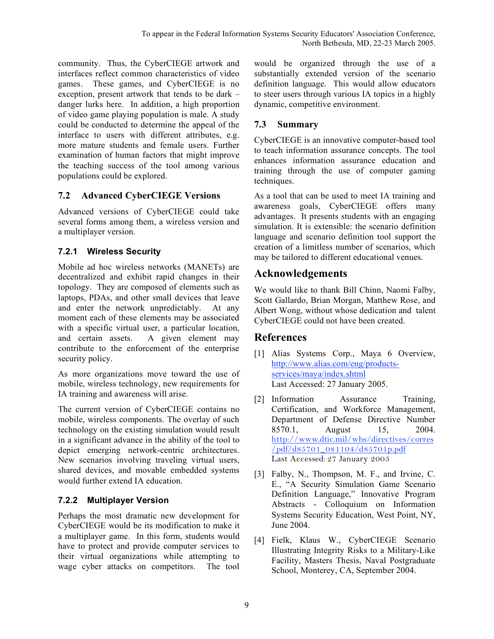community. Thus, the CyberCIEGE artwork and interfaces reflect common characteristics of video games. These games, and CyberCIEGE is no exception, present artwork that tends to be dark – danger lurks here. In addition, a high proportion of video game playing population is male. A study could be conducted to determine the appeal of the interface to users with different attributes, e.g. more mature students and female users. Further examination of human factors that might improve the teaching success of the tool among various populations could be explored.

### **7.2 Advanced CyberCIEGE Versions**

Advanced versions of CyberCIEGE could take several forms among them, a wireless version and a multiplayer version.

### **7.2.1 Wireless Security**

Mobile ad hoc wireless networks (MANETs) are decentralized and exhibit rapid changes in their topology. They are composed of elements such as laptops, PDAs, and other small devices that leave and enter the network unpredictably. At any moment each of these elements may be associated with a specific virtual user, a particular location, and certain assets. A given element may contribute to the enforcement of the enterprise security policy.

As more organizations move toward the use of mobile, wireless technology, new requirements for IA training and awareness will arise.

The current version of CyberCIEGE contains no mobile, wireless components. The overlay of such technology on the existing simulation would result in a significant advance in the ability of the tool to depict emerging network-centric architectures. New scenarios involving traveling virtual users, shared devices, and movable embedded systems would further extend IA education.

### **7.2.2 Multiplayer Version**

Perhaps the most dramatic new development for CyberCIEGE would be its modification to make it a multiplayer game. In this form, students would have to protect and provide computer services to their virtual organizations while attempting to wage cyber attacks on competitors. The tool

would be organized through the use of a substantially extended version of the scenario definition language. This would allow educators to steer users through various IA topics in a highly dynamic, competitive environment.

### **7.3 Summary**

CyberCIEGE is an innovative computer-based tool to teach information assurance concepts. The tool enhances information assurance education and training through the use of computer gaming techniques.

As a tool that can be used to meet IA training and awareness goals, CyberCIEGE offers many advantages. It presents students with an engaging simulation. It is extensible: the scenario definition language and scenario definition tool support the creation of a limitless number of scenarios, which may be tailored to different educational venues.

# **Acknowledgements**

We would like to thank Bill Chinn, Naomi Falby, Scott Gallardo, Brian Morgan, Matthew Rose, and Albert Wong, without whose dedication and talent CyberCIEGE could not have been created.

### **References**

- [1] Alias Systems Corp., Maya 6 Overview, http://www.alias.com/eng/productsservices/maya/index.shtml Last Accessed: 27 January 2005.
- [2] Information Assurance Training, Certification, and Workforce Management, Department of Defense Directive Number 8570.1, August 15, 2004. http://www.dtic.mil/whs/directives/corres /pdf/d85701\_081104/d85701p.pdf Last Accessed: 27 January 2005
- [3] Falby, N., Thompson, M. F., and Irvine, C. E., "A Security Simulation Game Scenario Definition Language," Innovative Program Abstracts - Colloquium on Information Systems Security Education, West Point, NY, June 2004.
- [4] Fielk, Klaus W., CyberCIEGE Scenario Illustrating Integrity Risks to a Military-Like Facility, Masters Thesis, Naval Postgraduate School, Monterey, CA, September 2004.